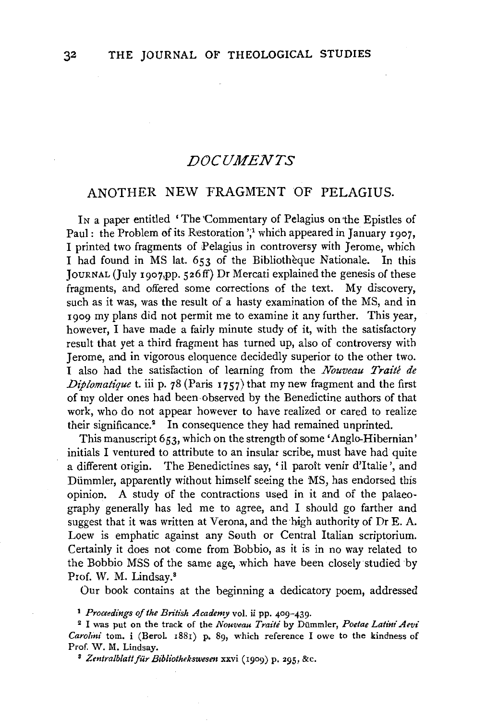# *DOCUMENTS*

## ANOTHER NEW FRAGMENT OF PELAGIUS.

IN a paper entitled 'The 'Commentary of Pelagius on the Epistles of Paul: the Problem of its Restoration ',<sup>1</sup> which appeared in January 1907, I printed two fragments of Pelagius in controversy with Jerome, which I had found in MS lat. 653 of the Bibliotheque Nationale. In this JOURNAL (July 1907, pp.  $526\text{ ff}$ ) Dr Mercati explained the genesis of these fragments, and offered some corrections of the text. My discovery, such as it was, was the result of a hasty examination of the MS, and in 1909 my plans did not permit me to examine it any further. This year, however, I have made a fairly minute study of it, with the satisfactory result that yet a third fragment has turned up, also of controversy with Jerome, and in vigorous eloquence decidedly superior to the other two. I also had the satisfaction of learning from the *Nouveau Traite de Diplomatique* **t.** iii p. 78 (Paris 1757) that my new fragment and the first of my older ones had been observed by the Benedictine authors of that work, who do not appear however to have realized or cared to realize their significance.<sup>2</sup> In consequence they had remained unprinted.

This manuscript 653, which on the strength of some 'Anglo-Hibernian' initials I ventured to attribute to an insular scribe, must have had quite a different origin. The Benedictines say, 'il paroit venir d'Italie ', and Diimmler, apparently without himself seeing the MS, has endorsed this opinion. A study of the contractions used in it and of the palaeography generally has led me to agree, and I should go farther and suggest that it was written at Verona, and the high authority of Dr E. A. Loew is emphatic against any South or Central Italian scriptorium. Certainly it does not come from Bobbio, as it is in no way related to the Bobbio MSS of the same age, which have been closely studied by Prof. W. M. Lindsay.8

Our book contains at the beginning a dedicatory poem, addressed

<sup>1</sup>*Proceedings of the British Academy* vo!. ii pp. 409-439.

2 I was put on the track of the *Nouveau Traiti* by Diimmler, *Poetae Latini Aevi Carohni* tom. i (Berol. 1881) p. 89, which reference I owe to the kindness of Prof. W. M. Lindsay.<br><sup>8</sup> *Zentralblatt für Bibliothekswesen* xxvi (1909) p. 295, &c.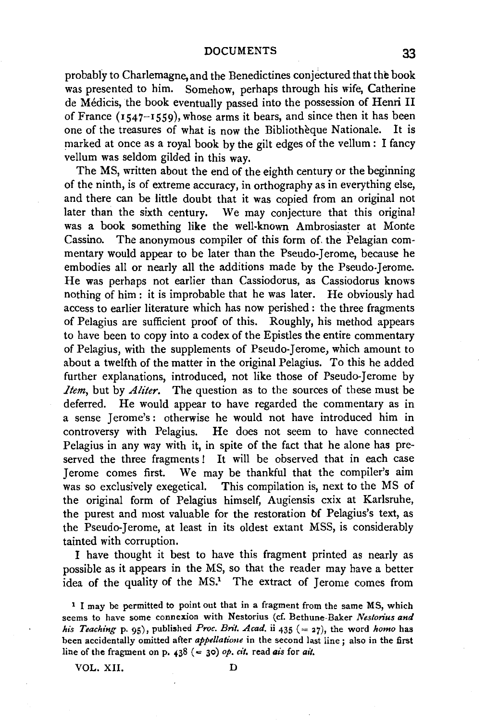probably to Charlemagne, and the Benedictines conjectured that the book was presented to him. Somehow, perhaps through his wife, Catherine de Medicis, the book eventually passed into the possession of Henri II of France  $(1547-1559)$ , whose arms it bears, and since then it has been one of the treasures of what is now the Bibliotheque Nationale. It is marked at once as a royal book by the gilt edges of the vellum : I fancy vellum was seldom gilded in this way.

The MS, written about the end of the eighth century or the beginning of the ninth, is of extreme accuracy, in orthography as in everything else, and there can be little doubt that it was copied from an original not later than the sixth century. We may conjecture that this original was a book something like the well-known Ambrosiaster at Monte Cassino. The anonymous compiler of this form of. the Pelagian commentary would appear to be later than the Pseudo-Jerome, because he embodies all or nearly all the additions made by the Pseudo-Jerome. He was perhaps not earlier than Cassiodorus, as Cassiodorus knows nothing of him: it is improbable that he was later. He obviously had access to earlier literature which has now perished : the three fragments of Pelagius are sufficient proof of this. Roughly, his method appears to have been to copy into a codex of the Epistles the entire commentary of Pelagius, with the supplements of Pseudo-Jerome, which amount to about a twelfth of the matter in the original Pelagius. To this he added further explanations, introduced, not like those of Pseudo-Jerome by *Jtem,* but by *Aliter.* The question as to the sources of these must be deferred. He would appear to have regarded the commentary as in a sense Jerome's: otherwise he would not have introduced him in controversy with Pelagius. He does not seem to have connected Pelagius in any way with it, in spite of the fact that he alone has preserved the three fragments! It will be observed that in each case Jerome comes first. We may be thankful that the compiler's aim was so exclusively exegetical. This compilation is, next to the MS of the original form of Pelagius himself, Augiensis cxix at Karlsruhe, the purest and most valuable for the restoration of Pelagius's text, as the Pseudo-Jerome, at least in its oldest extant MSS, is considerably tainted with corruption.

I have thought it best to have this fragment printed as nearly as possible as it appears in the MS, so that the reader may have a better idea of the quality of the MS.<sup>1</sup> The extract of Jerome comes from

VOL. XII. D

<sup>&</sup>lt;sup>1</sup> I may be permitted to point out that in a fragment from the same MS, which seems to have some connexion with Nestorius (cf. Bethune-Baker Nestorius and *his Teaching* p. 95), published *Proc. Brit. Acad.* ii  $435 (= 27)$ , the word *homo* has been accidentally omitted after *appellatione* in the second last line; also in the first line of the fragment on p. 438 (= 30) *op. cit.* read *ais* for *ait.*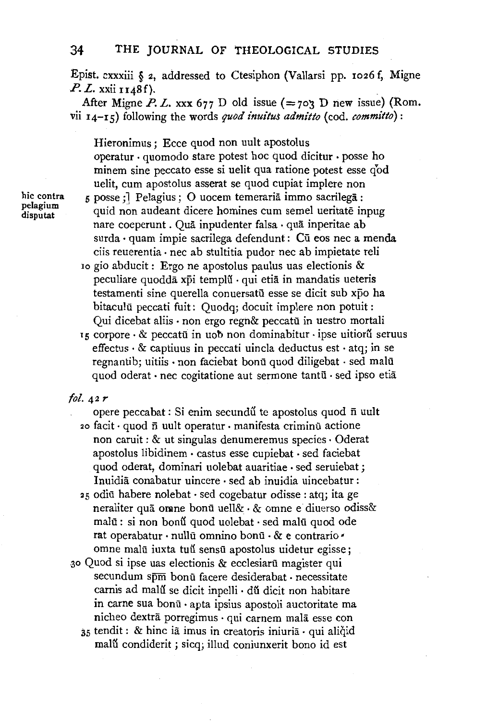Epist.  $\alpha$ xxiii § 2, addressed to Ctesiphon (Vallarsi pp. 1026 f, Migne *P.* L. xxii 1148f).

After Migne  $P$ ,  $L$ ,  $xxx$  677 D old issue (=703 D new issue) (Rom. vii  $14-15$ ) following the words *quod inuitus admitto* (cod. *committo*):

Hieronimus ; Ecce quod non uult apostolus operatur . quomodo stare potest hoc quod dicitur · posse ho minem sine peccato esse si uelit qua ratione potest esse qod uelit, cum apostolus asserat se quod cupiat implere non

hie contra pelagium disputat

5 posse;] Pelagius ; 0 uocem temeraria immo sacrilega : quid non audeant dicere homines cum semel ueritate inpug nare coeperunt . Qua inpudenter falsa · qua inperitae ab surda · quam impie sacrilega defendunt: Cū eos nec a menda ciis reuerentia · nee ab stultitia pudor nee ab impietate reli

Io gio abducit : Ergo ne apostolus paulus uas electionis & peculiare quodda xpi templu . qui etia in mandatis ueteris testamenti sine querella conuersatū esse se dicit sub xpo ha bitaculū peccati fuit: Quodq; docuit implere non potuit: Qui dicebat aliis · non ergo regn& peccatu in uestro mortali

 $15$  corpore  $\cdot$  & peccatu in uob non dominabitur  $\cdot$  ipse uitiorus seruus effectus · & captiuus in peccati uincla deductus est · atq; in se regnantib; uitiis ·non faciebat bonu quod diligebat · sed malu quod oderat · nee cogitatione aut sermone tantii · sed ipso etia

## *fol.* 42 *r*

opere peccabat : Si enim secundu te apostolus quod ñ uult 20 facit · quod fi uult operatur · manifesta crimina actione non caruit : & ut singulas denumeremus species · Oderat apostolus libidinem · castus esse cupiebat · sed faciebat quod oderat, dominari uolebat auaritiae · sed seruiebat; Inuidia conabatur uincere · sed ab inuidia uincebatur :

25 odiu habere nolebat ·sed cogebatur odisse : atq; ita ge neraliter qua omne bonu uell& · & omne e diuerso odiss& malu: si non bonff quod uolebat · sed malu quod ode rat operabatur · nullū omnino bonū · & e contrario · omne malū iuxta tuű sensū apostolus uidetur egisse;

30 Quod si ipse uas electionis & ecclesiaru magister qui secundum spm bonu facere desiderabat · necessitate carnis ad malú se dicit inpelli · dú dicit non habitare in carne sua bonū · apta ipsius apostoli auctoritate ma nicheo dextra porregimus · qui carnem mala esse con

35 tendit : & hinc ia imus in creatoris iniuria · qui aliqid malu condiderit ; sicq; illud coniunxerit bono id est